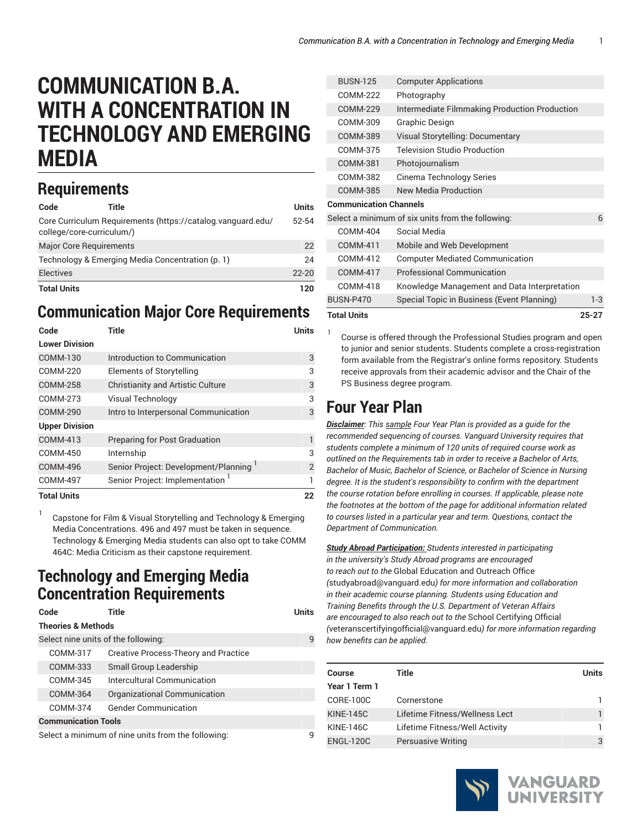# **COMMUNICATION B.A. WITH A CONCENTRATION IN TECHNOLOGY AND EMERGING MEDIA**

## **Requirements**

1

| Code               | Title                                            |                                                             | Units     |
|--------------------|--------------------------------------------------|-------------------------------------------------------------|-----------|
|                    | college/core-curriculum/)                        | Core Curriculum Requirements (https://catalog.vanguard.edu/ | 52-54     |
|                    | <b>Major Core Requirements</b>                   |                                                             | 22        |
|                    | Technology & Emerging Media Concentration (p. 1) |                                                             | 24        |
| <b>Electives</b>   |                                                  |                                                             | $22 - 20$ |
| <b>Total Units</b> |                                                  |                                                             | 120       |

#### **Communication Major Core Requirements**

| Code                  | Title                                    | Units          |
|-----------------------|------------------------------------------|----------------|
| <b>Lower Division</b> |                                          |                |
| COMM-130              | Introduction to Communication            | 3              |
| COMM-220              | Elements of Storytelling                 | 3              |
| <b>COMM-258</b>       | <b>Christianity and Artistic Culture</b> | 3              |
| <b>COMM-273</b>       | Visual Technology                        | 3              |
| <b>COMM-290</b>       | Intro to Interpersonal Communication     | 3              |
| <b>Upper Division</b> |                                          |                |
| COMM-413              | Preparing for Post Graduation            | 1              |
| COMM-450              | Internship                               | 3              |
| <b>COMM-496</b>       | Senior Project: Development/Planning     | $\overline{2}$ |
| <b>COMM-497</b>       | Senior Project: Implementation           | 1              |
| <b>Total Units</b>    |                                          | 22             |

Capstone for Film & Visual Storytelling and Technology & Emerging Media Concentrations. 496 and 497 must be taken in sequence. Technology & Emerging Media students can also opt to take COMM 464C: Media Criticism as their capstone requirement.

#### <span id="page-0-0"></span>**Technology and Emerging Media Concentration Requirements**

| Code                                | Title                                              | <b>Units</b> |
|-------------------------------------|----------------------------------------------------|--------------|
| <b>Theories &amp; Methods</b>       |                                                    |              |
| Select nine units of the following: |                                                    | q            |
| COMM-317                            | <b>Creative Process-Theory and Practice</b>        |              |
| COMM-333                            | Small Group Leadership                             |              |
| COMM-345                            | Intercultural Communication                        |              |
| <b>COMM-364</b>                     | Organizational Communication                       |              |
| COMM-374                            | <b>Gender Communication</b>                        |              |
| <b>Communication Tools</b>          |                                                    |              |
|                                     | Select a minimum of nine units from the following: |              |

| <b>Total Units</b>            |                                                   | $25 - 27$ |
|-------------------------------|---------------------------------------------------|-----------|
| <b>BUSN-P470</b>              | Special Topic in Business (Event Planning)        | $1-3$     |
| COMM-418                      | Knowledge Management and Data Interpretation      |           |
| <b>COMM-417</b>               | <b>Professional Communication</b>                 |           |
| COMM-412                      | <b>Computer Mediated Communication</b>            |           |
| COMM-411                      | Mobile and Web Development                        |           |
| COMM-404                      | Social Media                                      |           |
|                               | Select a minimum of six units from the following: | 6         |
| <b>Communication Channels</b> |                                                   |           |
| COMM-385                      | <b>New Media Production</b>                       |           |
| COMM-382                      | Cinema Technology Series                          |           |
| COMM-381                      | Photojournalism                                   |           |
| COMM-375                      | <b>Television Studio Production</b>               |           |
| COMM-389                      | Visual Storytelling: Documentary                  |           |
| COMM-309                      | Graphic Design                                    |           |
| COMM-229                      | Intermediate Filmmaking Production Production     |           |
| COMM-222                      | Photography                                       |           |
| <b>BUSN-125</b>               | <b>Computer Applications</b>                      |           |

Course is offered through the Professional Studies program and open to junior and senior students. Students complete a cross-registration form available from the Registrar's online forms repository. Students receive approvals from their academic advisor and the Chair of the PS Business degree program.

### **Four Year Plan**

1

*Disclaimer: This sample Four Year Plan is provided as a guide for the recommended sequencing of courses. Vanguard University requires that students complete a minimum of 120 units of required course work as outlined on the Requirements tab in order to receive a Bachelor of Arts, Bachelor of Music, Bachelor of Science, or Bachelor of Science in Nursing degree. It is the student's responsibility to confirm with the department the course rotation before enrolling in courses. If applicable, please note the footnotes at the bottom of the page for additional information related to courses listed in a particular year and term. Questions, contact the Department of Communication.*

*Study Abroad Participation: Students interested in participating in the university's Study Abroad programs are encouraged to reach out to the* Global [Education](mailto:studyabroad@vanguard.edu) and Outreach Office *(*<studyabroad@vanguard.edu>*) for more information and collaboration in their academic course planning. Students using Education and Training Benefits through the U.S. Department of Veteran Affairs are encouraged to also reach out to the* School [Certifying](mailto:veteranscertifyingofficial@vanguard.edu) Official *(*<veteranscertifyingofficial@vanguard.edu>*) for more information regarding how benefits can be applied.*

| <b>Course</b>    | Title                          | Units |
|------------------|--------------------------------|-------|
| Year 1 Term 1    |                                |       |
| CORE-100C        | Cornerstone                    |       |
| <b>KINE-145C</b> | Lifetime Fitness/Wellness Lect |       |
| <b>KINE-146C</b> | Lifetime Fitness/Well Activity |       |
| <b>ENGL-120C</b> | <b>Persuasive Writing</b>      | 3     |